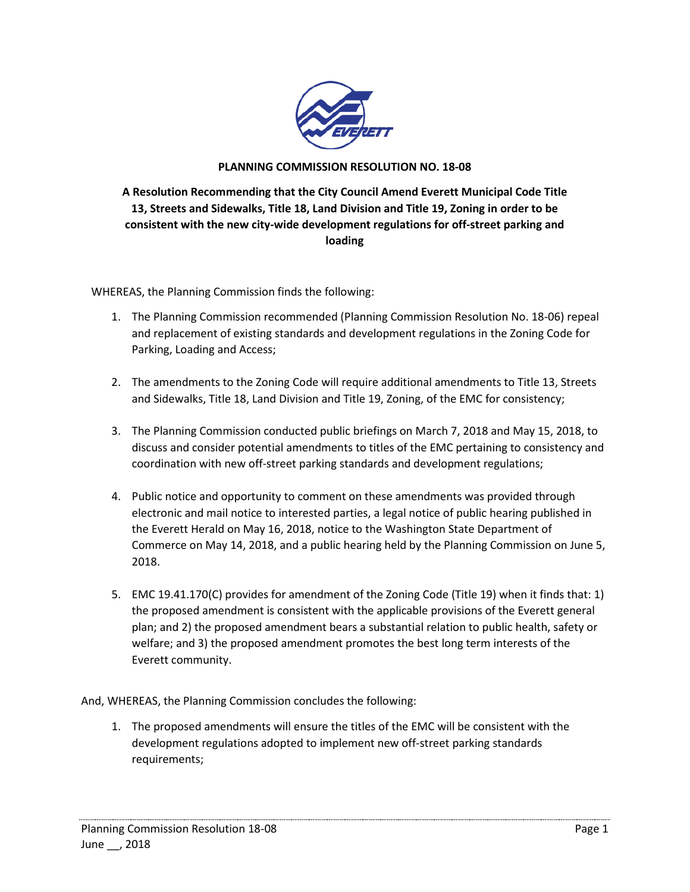

## **PLANNING COMMISSION RESOLUTION NO. 18-08**

**A Resolution Recommending that the City Council Amend Everett Municipal Code Title 13, Streets and Sidewalks, Title 18, Land Division and Title 19, Zoning in order to be consistent with the new city-wide development regulations for off-street parking and loading** 

WHEREAS, the Planning Commission finds the following:

- 1. The Planning Commission recommended (Planning Commission Resolution No. 18-06) repeal and replacement of existing standards and development regulations in the Zoning Code for Parking, Loading and Access;
- 2. The amendments to the Zoning Code will require additional amendments to Title 13, Streets and Sidewalks, Title 18, Land Division and Title 19, Zoning, of the EMC for consistency;
- 3. The Planning Commission conducted public briefings on March 7, 2018 and May 15, 2018, to discuss and consider potential amendments to titles of the EMC pertaining to consistency and coordination with new off-street parking standards and development regulations;
- 4. Public notice and opportunity to comment on these amendments was provided through electronic and mail notice to interested parties, a legal notice of public hearing published in the Everett Herald on May 16, 2018, notice to the Washington State Department of Commerce on May 14, 2018, and a public hearing held by the Planning Commission on June 5, 2018.
- 5. EMC 19.41.170(C) provides for amendment of the Zoning Code (Title 19) when it finds that: 1) the proposed amendment is consistent with the applicable provisions of the Everett general plan; and 2) the proposed amendment bears a substantial relation to public health, safety or welfare; and 3) the proposed amendment promotes the best long term interests of the Everett community.

And, WHEREAS, the Planning Commission concludes the following:

1. The proposed amendments will ensure the titles of the EMC will be consistent with the development regulations adopted to implement new off-street parking standards requirements;